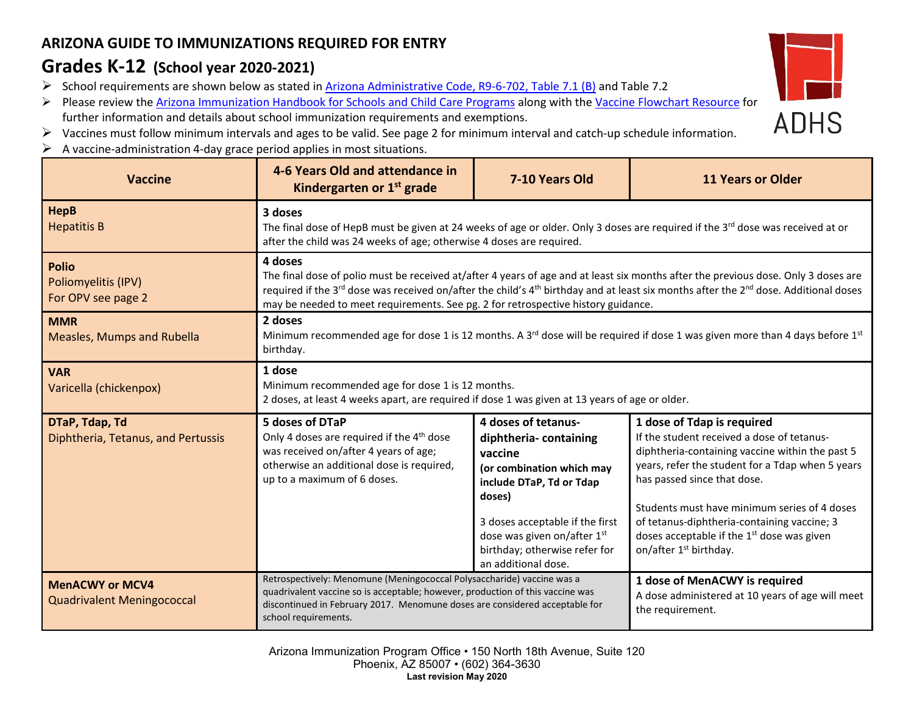## **ARIZONA GUIDE TO IMMUNIZATIONS REQUIRED FOR ENTRY**

## **Grades K-12 (School year 2020-2021)**

- School requirements are shown below as stated in [Arizona Administrative Code, R9-6-702, Table 7.1 \(B\)](https://apps.azsos.gov/public_services/Title_09/9-06.pdf) and Table 7.2
- Please review the [Arizona Immunization Handbook for Schools and Child Care Programs](https://www.azdhs.gov/preparedness/epidemiology-disease-control/immunization/index.php) along with th[e Vaccine](https://azdhs.gov/documents/preparedness/epidemiology-disease-control/immunization/school-childcare/school-faqs.pdf) Flowchart Resource for further information and details about school immunization requirements and exemptions.



- Vaccines must follow minimum intervals and ages to be valid. See page 2 for minimum interval and catch-up schedule information.
- $\triangleright$  A vaccine-administration 4-day grace period applies in most situations.

| <b>Vaccine</b>                                              | 4-6 Years Old and attendance in<br>Kindergarten or $1st$ grade                                                                                                                                                                                                                                                                                                                                                 | 7-10 Years Old                                                                                                                                                                                                                                       | <b>11 Years or Older</b>                                                                                                                                                                                                                                                                                                                                                                            |  |  |
|-------------------------------------------------------------|----------------------------------------------------------------------------------------------------------------------------------------------------------------------------------------------------------------------------------------------------------------------------------------------------------------------------------------------------------------------------------------------------------------|------------------------------------------------------------------------------------------------------------------------------------------------------------------------------------------------------------------------------------------------------|-----------------------------------------------------------------------------------------------------------------------------------------------------------------------------------------------------------------------------------------------------------------------------------------------------------------------------------------------------------------------------------------------------|--|--|
| <b>HepB</b><br><b>Hepatitis B</b>                           | 3 doses<br>The final dose of HepB must be given at 24 weeks of age or older. Only 3 doses are required if the 3 <sup>rd</sup> dose was received at or<br>after the child was 24 weeks of age; otherwise 4 doses are required.                                                                                                                                                                                  |                                                                                                                                                                                                                                                      |                                                                                                                                                                                                                                                                                                                                                                                                     |  |  |
| <b>Polio</b><br>Poliomyelitis (IPV)<br>For OPV see page 2   | 4 doses<br>The final dose of polio must be received at/after 4 years of age and at least six months after the previous dose. Only 3 doses are<br>required if the 3 <sup>rd</sup> dose was received on/after the child's 4 <sup>th</sup> birthday and at least six months after the 2 <sup>nd</sup> dose. Additional doses<br>may be needed to meet requirements. See pg. 2 for retrospective history guidance. |                                                                                                                                                                                                                                                      |                                                                                                                                                                                                                                                                                                                                                                                                     |  |  |
| <b>MMR</b><br><b>Measles, Mumps and Rubella</b>             | 2 doses<br>Minimum recommended age for dose 1 is 12 months. A 3 <sup>rd</sup> dose will be required if dose 1 was given more than 4 days before 1 <sup>st</sup><br>birthday.                                                                                                                                                                                                                                   |                                                                                                                                                                                                                                                      |                                                                                                                                                                                                                                                                                                                                                                                                     |  |  |
| <b>VAR</b><br>Varicella (chickenpox)                        | 1 dose<br>Minimum recommended age for dose 1 is 12 months.<br>2 doses, at least 4 weeks apart, are required if dose 1 was given at 13 years of age or older.                                                                                                                                                                                                                                                   |                                                                                                                                                                                                                                                      |                                                                                                                                                                                                                                                                                                                                                                                                     |  |  |
| DTaP, Tdap, Td<br>Diphtheria, Tetanus, and Pertussis        | 5 doses of DTaP<br>Only 4 doses are required if the 4 <sup>th</sup> dose<br>was received on/after 4 years of age;<br>otherwise an additional dose is required,<br>up to a maximum of 6 doses.                                                                                                                                                                                                                  | 4 doses of tetanus-<br>diphtheria-containing<br>vaccine<br>(or combination which may<br>include DTaP, Td or Tdap<br>doses)<br>3 doses acceptable if the first<br>dose was given on/after 1st<br>birthday; otherwise refer for<br>an additional dose. | 1 dose of Tdap is required<br>If the student received a dose of tetanus-<br>diphtheria-containing vaccine within the past 5<br>years, refer the student for a Tdap when 5 years<br>has passed since that dose.<br>Students must have minimum series of 4 doses<br>of tetanus-diphtheria-containing vaccine; 3<br>doses acceptable if the $1st$ dose was given<br>on/after 1 <sup>st</sup> birthday. |  |  |
| <b>MenACWY or MCV4</b><br><b>Quadrivalent Meningococcal</b> | Retrospectively: Menomune (Meningococcal Polysaccharide) vaccine was a<br>quadrivalent vaccine so is acceptable; however, production of this vaccine was<br>discontinued in February 2017. Menomune doses are considered acceptable for<br>school requirements.                                                                                                                                                |                                                                                                                                                                                                                                                      | 1 dose of MenACWY is required<br>A dose administered at 10 years of age will meet<br>the requirement.                                                                                                                                                                                                                                                                                               |  |  |